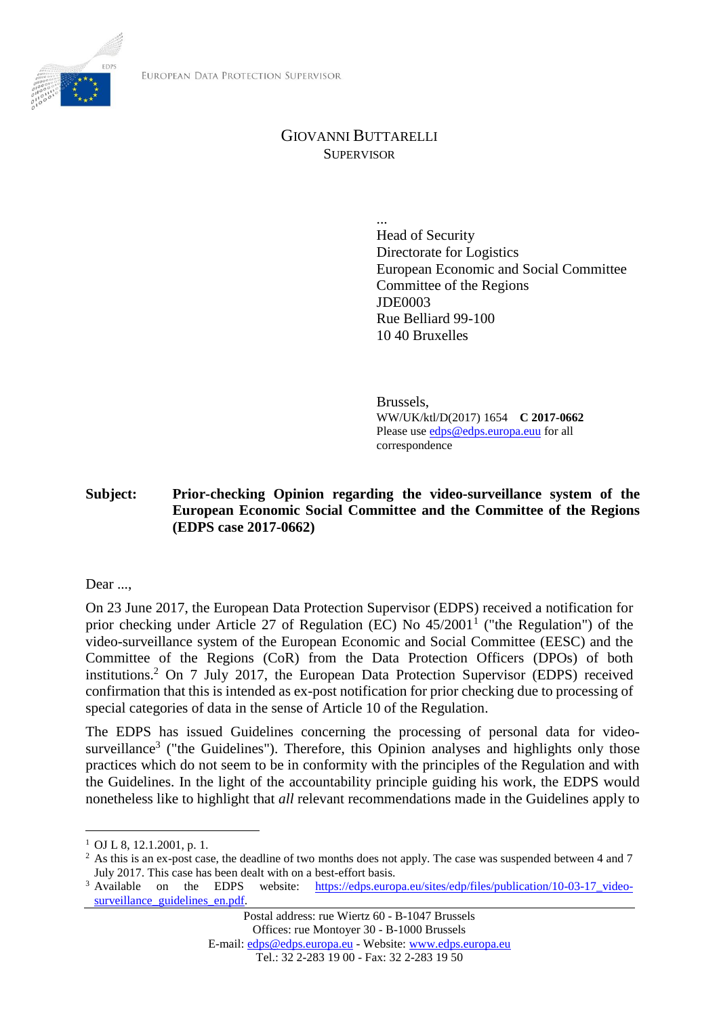

## GIOVANNI BUTTARELLI **SUPERVISOR**

... Head of Security Directorate for Logistics European Economic and Social Committee Committee of the Regions JDE0003 Rue Belliard 99-100 10 40 Bruxelles

Brussels, WW/UK/ktl/D(2017) 1654 **C 2017-0662** Please use [edps@edps.europa.euu](mailto:edps@edps.europa.euu) for all correspondence

**Subject: Prior-checking Opinion regarding the video-surveillance system of the European Economic Social Committee and the Committee of the Regions (EDPS case 2017-0662)**

Dear ...

On 23 June 2017, the European Data Protection Supervisor (EDPS) received a notification for prior checking under Article 27 of Regulation (EC) No  $45/2001<sup>1</sup>$  ("the Regulation") of the video-surveillance system of the European Economic and Social Committee (EESC) and the Committee of the Regions (CoR) from the Data Protection Officers (DPOs) of both institutions.<sup>2</sup> On 7 July 2017, the European Data Protection Supervisor (EDPS) received confirmation that this is intended as ex-post notification for prior checking due to processing of special categories of data in the sense of Article 10 of the Regulation.

The EDPS has issued Guidelines concerning the processing of personal data for videosurveillance<sup>3</sup> ("the Guidelines"). Therefore, this Opinion analyses and highlights only those practices which do not seem to be in conformity with the principles of the Regulation and with the Guidelines. In the light of the accountability principle guiding his work, the EDPS would nonetheless like to highlight that *all* relevant recommendations made in the Guidelines apply to

 $\overline{a}$ 

 $1$  OJ L 8, 12, 1, 2001, p. 1.

<sup>&</sup>lt;sup>2</sup> As this is an ex-post case, the deadline of two months does not apply. The case was suspended between 4 and 7 July 2017. This case has been dealt with on a best-effort basis.

<sup>&</sup>lt;sup>3</sup> Available on the EDPS website: https://edps.europa.eu/sites/edp/files/publication/10-03-17 videosurveillance guidelines en.pdf.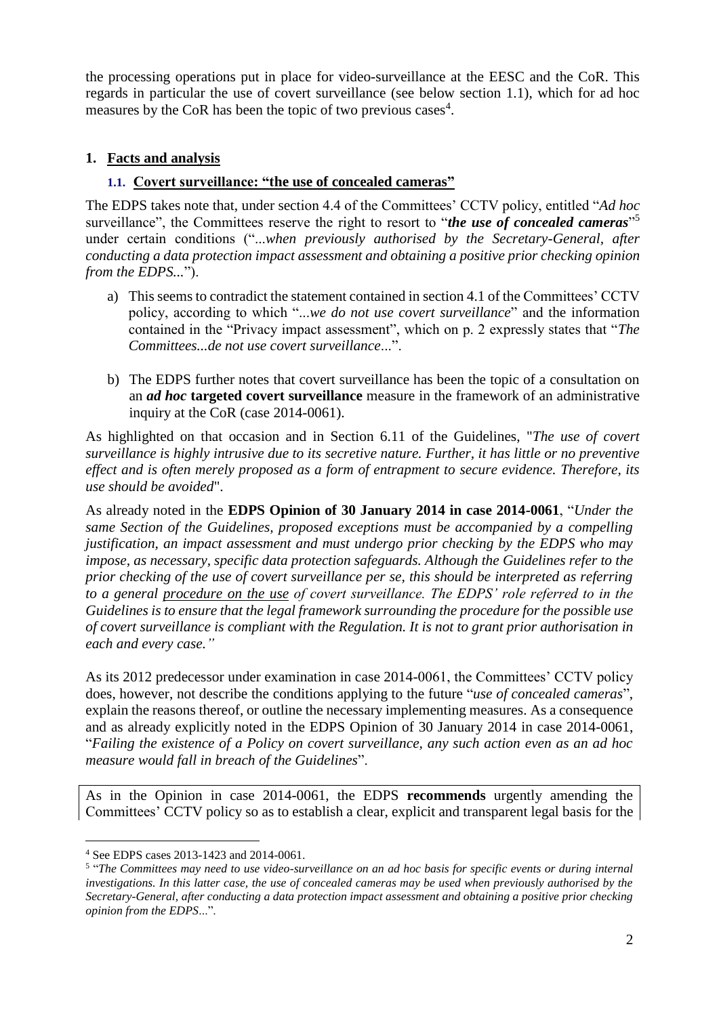the processing operations put in place for video-surveillance at the EESC and the CoR. This regards in particular the use of covert surveillance (see below section 1.1), which for ad hoc measures by the CoR has been the topic of two previous cases<sup>4</sup>.

#### **1. Facts and analysis**

#### **1.1. Covert surveillance: "the use of concealed cameras"**

The EDPS takes note that, under section 4.4 of the Committees' CCTV policy, entitled "*Ad hoc*  surveillance", the Committees reserve the right to resort to "*the use of concealed cameras*"<sup>5</sup> under certain conditions ("...*when previously authorised by the Secretary-General, after conducting a data protection impact assessment and obtaining a positive prior checking opinion from the EDPS...*").

- a) This seems to contradict the statement contained in section 4.1 of the Committees' CCTV policy, according to which "...*we do not use covert surveillance*" and the information contained in the "Privacy impact assessment", which on p. 2 expressly states that "*The Committees...de not use covert surveillance*...".
- b) The EDPS further notes that covert surveillance has been the topic of a consultation on an *ad hoc* **targeted covert surveillance** measure in the framework of an administrative inquiry at the CoR (case 2014-0061).

As highlighted on that occasion and in Section 6.11 of the Guidelines, "*The use of covert surveillance is highly intrusive due to its secretive nature. Further, it has little or no preventive effect and is often merely proposed as a form of entrapment to secure evidence. Therefore, its use should be avoided*".

As already noted in the **EDPS Opinion of 30 January 2014 in case 2014-0061**, "*Under the same Section of the Guidelines, proposed exceptions must be accompanied by a compelling justification, an impact assessment and must undergo prior checking by the EDPS who may impose, as necessary, specific data protection safeguards. Although the Guidelines refer to the prior checking of the use of covert surveillance per se, this should be interpreted as referring to a general procedure on the use of covert surveillance. The EDPS' role referred to in the Guidelines is to ensure that the legal framework surrounding the procedure for the possible use of covert surveillance is compliant with the Regulation. It is not to grant prior authorisation in each and every case."* 

As its 2012 predecessor under examination in case 2014-0061, the Committees' CCTV policy does, however, not describe the conditions applying to the future "*use of concealed cameras*", explain the reasons thereof, or outline the necessary implementing measures. As a consequence and as already explicitly noted in the EDPS Opinion of 30 January 2014 in case 2014-0061, "*Failing the existence of a Policy on covert surveillance, any such action even as an ad hoc measure would fall in breach of the Guidelines*".

As in the Opinion in case 2014-0061, the EDPS **recommends** urgently amending the Committees' CCTV policy so as to establish a clear, explicit and transparent legal basis for the

 $\overline{a}$ 

<sup>4</sup> See EDPS cases 2013-1423 and 2014-0061.

<sup>&</sup>lt;sup>5</sup> "The Committees may need to use video-surveillance on an ad hoc basis for specific events or during internal *investigations. In this latter case, the use of concealed cameras may be used when previously authorised by the Secretary-General, after conducting a data protection impact assessment and obtaining a positive prior checking opinion from the EDPS*...".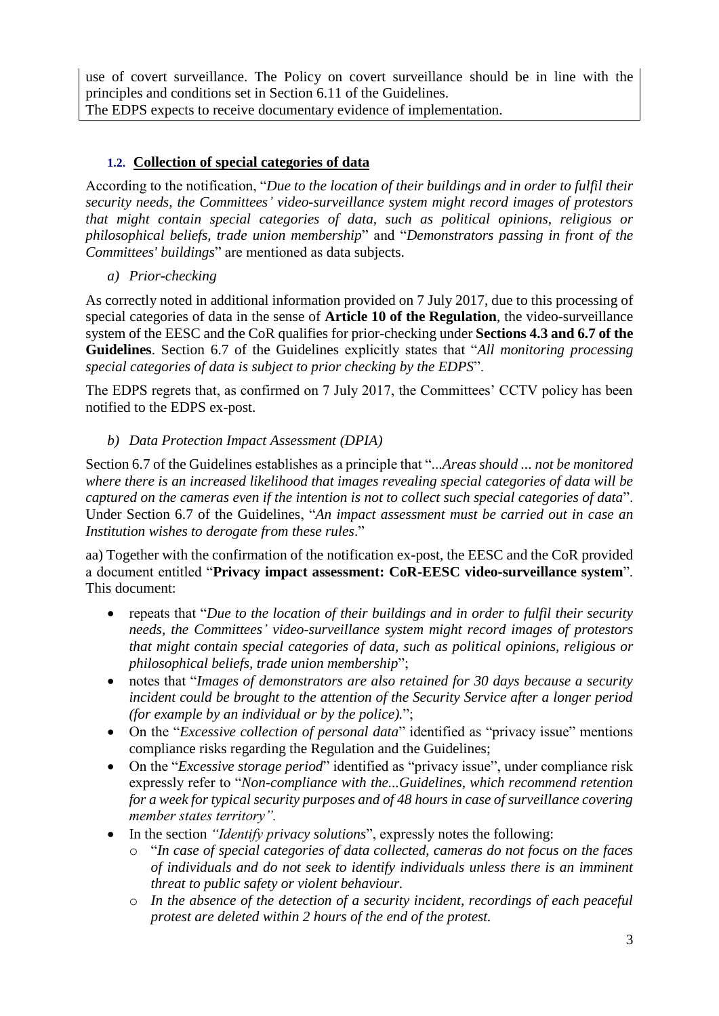use of covert surveillance. The Policy on covert surveillance should be in line with the principles and conditions set in Section 6.11 of the Guidelines. The EDPS expects to receive documentary evidence of implementation.

## **1.2. Collection of special categories of data**

According to the notification, "*Due to the location of their buildings and in order to fulfil their security needs, the Committees' video-surveillance system might record images of protestors that might contain special categories of data, such as political opinions, religious or philosophical beliefs, trade union membership*" and "*Demonstrators passing in front of the Committees' buildings*" are mentioned as data subjects.

*a) Prior-checking*

As correctly noted in additional information provided on 7 July 2017, due to this processing of special categories of data in the sense of **Article 10 of the Regulation**, the video-surveillance system of the EESC and the CoR qualifies for prior-checking under **Sections 4.3 and 6.7 of the Guidelines**. Section 6.7 of the Guidelines explicitly states that "*All monitoring processing special categories of data is subject to prior checking by the EDPS*".

The EDPS regrets that, as confirmed on 7 July 2017, the Committees' CCTV policy has been notified to the EDPS ex-post.

### *b) Data Protection Impact Assessment (DPIA)*

Section 6.7 of the Guidelines establishes as a principle that "...*Areas should ... not be monitored where there is an increased likelihood that images revealing special categories of data will be captured on the cameras even if the intention is not to collect such special categories of data*". Under Section 6.7 of the Guidelines, "*An impact assessment must be carried out in case an Institution wishes to derogate from these rules*."

aa) Together with the confirmation of the notification ex-post, the EESC and the CoR provided a document entitled "**Privacy impact assessment: CoR-EESC video-surveillance system**". This document:

- repeats that "*Due to the location of their buildings and in order to fulfil their security needs, the Committees' video-surveillance system might record images of protestors that might contain special categories of data, such as political opinions, religious or philosophical beliefs, trade union membership*";
- notes that "*Images of demonstrators are also retained for 30 days because a security incident could be brought to the attention of the Security Service after a longer period (for example by an individual or by the police).*";
- On the "*Excessive collection of personal data*" identified as "privacy issue" mentions compliance risks regarding the Regulation and the Guidelines;
- On the "*Excessive storage period*" identified as "privacy issue", under compliance risk expressly refer to "*Non-compliance with the...Guidelines, which recommend retention for a week for typical security purposes and of 48 hours in case of surveillance covering member states territory".*
- In the section *"Identify privacy solutions*", expressly notes the following:
	- o "*In case of special categories of data collected, cameras do not focus on the faces of individuals and do not seek to identify individuals unless there is an imminent threat to public safety or violent behaviour.*
	- o *In the absence of the detection of a security incident, recordings of each peaceful protest are deleted within 2 hours of the end of the protest.*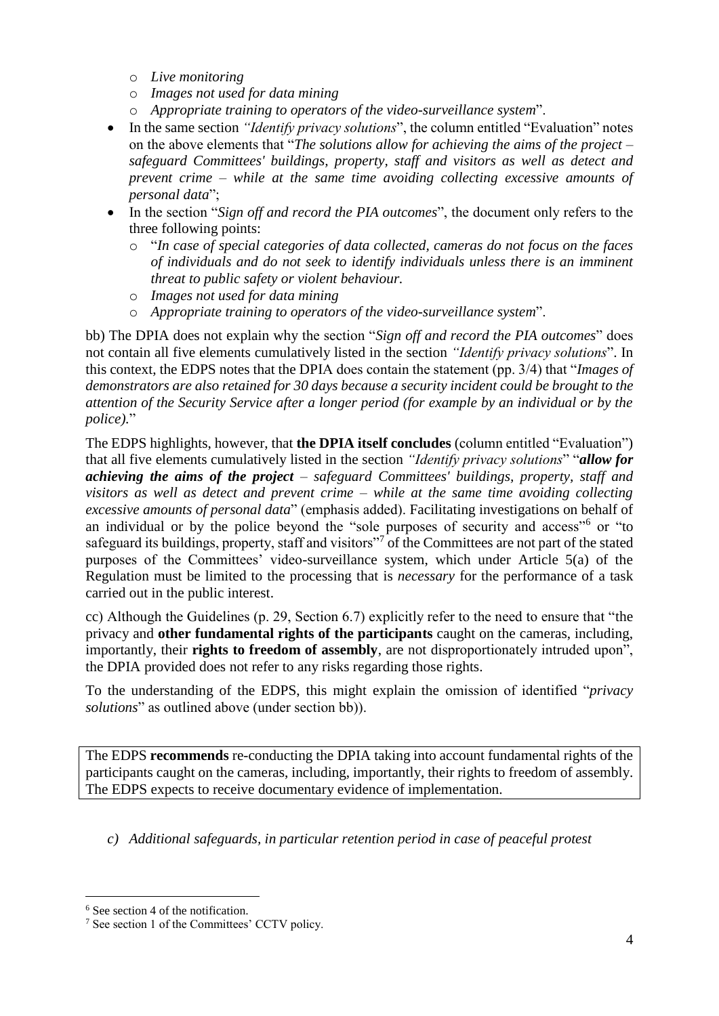- o *Live monitoring*
- o *Images not used for data mining*
- o *Appropriate training to operators of the video-surveillance system*".
- In the same section *"Identify privacy solutions*", the column entitled "Evaluation" notes on the above elements that "*The solutions allow for achieving the aims of the project – safeguard Committees' buildings, property, staff and visitors as well as detect and prevent crime – while at the same time avoiding collecting excessive amounts of personal data*";
- In the section "*Sign off and record the PIA outcomes*", the document only refers to the three following points:
	- o "*In case of special categories of data collected, cameras do not focus on the faces of individuals and do not seek to identify individuals unless there is an imminent threat to public safety or violent behaviour.*
	- o *Images not used for data mining*
	- o *Appropriate training to operators of the video-surveillance system*".

bb) The DPIA does not explain why the section "*Sign off and record the PIA outcomes*" does not contain all five elements cumulatively listed in the section *"Identify privacy solutions*". In this context, the EDPS notes that the DPIA does contain the statement (pp. 3/4) that "*Images of demonstrators are also retained for 30 days because a security incident could be brought to the attention of the Security Service after a longer period (for example by an individual or by the police).*"

The EDPS highlights, however, that **the DPIA itself concludes** (column entitled "Evaluation") that all five elements cumulatively listed in the section *"Identify privacy solutions*" "*allow for achieving the aims of the project – safeguard Committees' buildings, property, staff and visitors as well as detect and prevent crime – while at the same time avoiding collecting excessive amounts of personal data*" (emphasis added). Facilitating investigations on behalf of an individual or by the police beyond the "sole purposes of security and access"<sup>6</sup> or "to safeguard its buildings, property, staff and visitors"<sup>7</sup> of the Committees are not part of the stated purposes of the Committees' video-surveillance system, which under Article 5(a) of the Regulation must be limited to the processing that is *necessary* for the performance of a task carried out in the public interest.

cc) Although the Guidelines (p. 29, Section 6.7) explicitly refer to the need to ensure that "the privacy and **other fundamental rights of the participants** caught on the cameras, including, importantly, their **rights to freedom of assembly**, are not disproportionately intruded upon", the DPIA provided does not refer to any risks regarding those rights.

To the understanding of the EDPS, this might explain the omission of identified "*privacy solutions*" as outlined above (under section bb)).

The EDPS **recommends** re-conducting the DPIA taking into account fundamental rights of the participants caught on the cameras, including, importantly, their rights to freedom of assembly. The EDPS expects to receive documentary evidence of implementation.

*c) Additional safeguards, in particular retention period in case of peaceful protest*

 $\overline{a}$ 

<sup>&</sup>lt;sup>6</sup> See section 4 of the notification.

<sup>7</sup> See section 1 of the Committees' CCTV policy.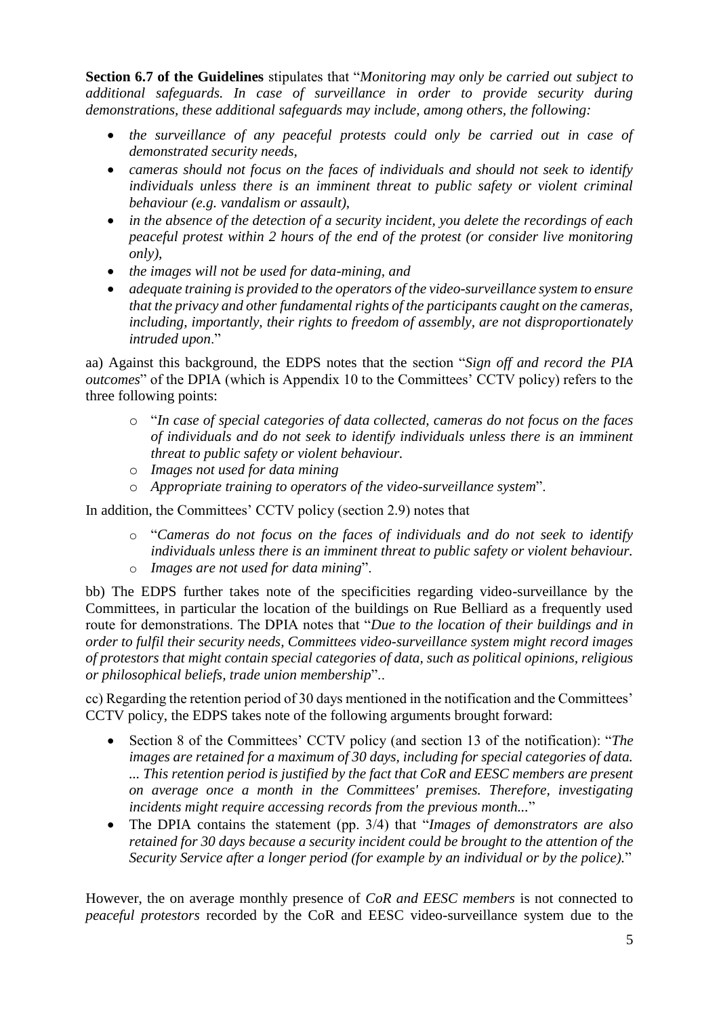**Section 6.7 of the Guidelines** stipulates that "*Monitoring may only be carried out subject to additional safeguards. In case of surveillance in order to provide security during demonstrations, these additional safeguards may include, among others, the following:*

- the surveillance of any peaceful protests could only be carried out in case of *demonstrated security needs,*
- *cameras should not focus on the faces of individuals and should not seek to identify individuals unless there is an imminent threat to public safety or violent criminal behaviour (e.g. vandalism or assault),*
- *in the absence of the detection of a security incident, you delete the recordings of each peaceful protest within 2 hours of the end of the protest (or consider live monitoring only),*
- *the images will not be used for data-mining, and*
- *adequate training is provided to the operators of the video-surveillance system to ensure that the privacy and other fundamental rights of the participants caught on the cameras, including, importantly, their rights to freedom of assembly, are not disproportionately intruded upon*."

aa) Against this background, the EDPS notes that the section "*Sign off and record the PIA outcomes*" of the DPIA (which is Appendix 10 to the Committees' CCTV policy) refers to the three following points:

- o "*In case of special categories of data collected, cameras do not focus on the faces of individuals and do not seek to identify individuals unless there is an imminent threat to public safety or violent behaviour.*
- o *Images not used for data mining*
- o *Appropriate training to operators of the video-surveillance system*".

In addition, the Committees' CCTV policy (section 2.9) notes that

o "*Cameras do not focus on the faces of individuals and do not seek to identify individuals unless there is an imminent threat to public safety or violent behaviour.* o *Images are not used for data mining*".

bb) The EDPS further takes note of the specificities regarding video-surveillance by the Committees, in particular the location of the buildings on Rue Belliard as a frequently used route for demonstrations. The DPIA notes that "*Due to the location of their buildings and in order to fulfil their security needs, Committees video-surveillance system might record images of protestors that might contain special categories of data, such as political opinions, religious or philosophical beliefs, trade union membership*"..

cc) Regarding the retention period of 30 days mentioned in the notification and the Committees' CCTV policy, the EDPS takes note of the following arguments brought forward:

- Section 8 of the Committees' CCTV policy (and section 13 of the notification): "*The images are retained for a maximum of 30 days, including for special categories of data. ... This retention period is justified by the fact that CoR and EESC members are present on average once a month in the Committees' premises. Therefore, investigating incidents might require accessing records from the previous month...*"
- The DPIA contains the statement (pp. 3/4) that "*Images of demonstrators are also retained for 30 days because a security incident could be brought to the attention of the Security Service after a longer period (for example by an individual or by the police).*"

However, the on average monthly presence of *CoR and EESC members* is not connected to *peaceful protestors* recorded by the CoR and EESC video-surveillance system due to the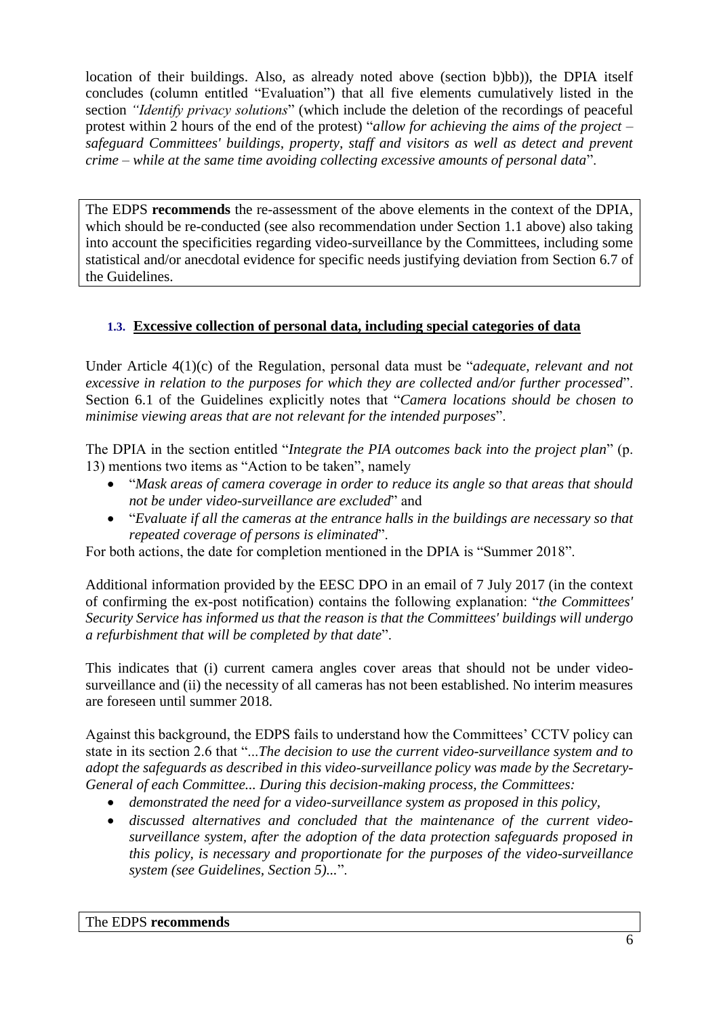location of their buildings. Also, as already noted above (section b)bb)), the DPIA itself concludes (column entitled "Evaluation") that all five elements cumulatively listed in the section *"Identify privacy solutions*" (which include the deletion of the recordings of peaceful protest within 2 hours of the end of the protest) "*allow for achieving the aims of the project – safeguard Committees' buildings, property, staff and visitors as well as detect and prevent crime – while at the same time avoiding collecting excessive amounts of personal data*".

The EDPS **recommends** the re-assessment of the above elements in the context of the DPIA, which should be re-conducted (see also recommendation under Section 1.1 above) also taking into account the specificities regarding video-surveillance by the Committees, including some statistical and/or anecdotal evidence for specific needs justifying deviation from Section 6.7 of the Guidelines.

## **1.3. Excessive collection of personal data, including special categories of data**

Under Article 4(1)(c) of the Regulation, personal data must be "*adequate, relevant and not excessive in relation to the purposes for which they are collected and/or further processed*". Section 6.1 of the Guidelines explicitly notes that "*Camera locations should be chosen to minimise viewing areas that are not relevant for the intended purposes*".

The DPIA in the section entitled "*Integrate the PIA outcomes back into the project plan*" (p. 13) mentions two items as "Action to be taken", namely

- "*Mask areas of camera coverage in order to reduce its angle so that areas that should not be under video-surveillance are excluded*" and
- "*Evaluate if all the cameras at the entrance halls in the buildings are necessary so that repeated coverage of persons is eliminated*".

For both actions, the date for completion mentioned in the DPIA is "Summer 2018".

Additional information provided by the EESC DPO in an email of 7 July 2017 (in the context of confirming the ex-post notification) contains the following explanation: "*the Committees' Security Service has informed us that the reason is that the Committees' buildings will undergo a refurbishment that will be completed by that date*".

This indicates that (i) current camera angles cover areas that should not be under videosurveillance and (ii) the necessity of all cameras has not been established. No interim measures are foreseen until summer 2018.

Against this background, the EDPS fails to understand how the Committees' CCTV policy can state in its section 2.6 that "...*The decision to use the current video-surveillance system and to adopt the safeguards as described in this video-surveillance policy was made by the Secretary-General of each Committee... During this decision-making process, the Committees:* 

- *demonstrated the need for a video-surveillance system as proposed in this policy,*
- *discussed alternatives and concluded that the maintenance of the current videosurveillance system, after the adoption of the data protection safeguards proposed in this policy, is necessary and proportionate for the purposes of the video-surveillance system (see Guidelines, Section 5)...*".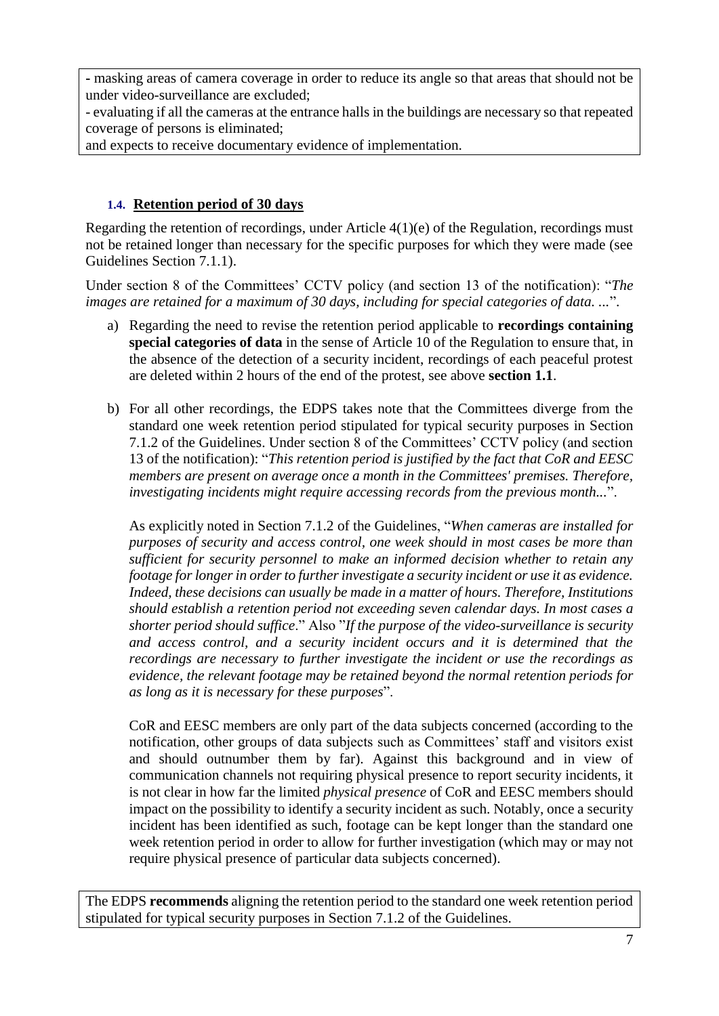**-** masking areas of camera coverage in order to reduce its angle so that areas that should not be under video-surveillance are excluded;

- evaluating if all the cameras at the entrance halls in the buildings are necessary so that repeated coverage of persons is eliminated;

and expects to receive documentary evidence of implementation.

## **1.4. Retention period of 30 days**

Regarding the retention of recordings, under Article 4(1)(e) of the Regulation, recordings must not be retained longer than necessary for the specific purposes for which they were made (see Guidelines Section 7.1.1).

Under section 8 of the Committees' CCTV policy (and section 13 of the notification): "*The images are retained for a maximum of 30 days, including for special categories of data. ...*".

- a) Regarding the need to revise the retention period applicable to **recordings containing special categories of data** in the sense of Article 10 of the Regulation to ensure that, in the absence of the detection of a security incident, recordings of each peaceful protest are deleted within 2 hours of the end of the protest, see above **section 1.1**.
- b) For all other recordings, the EDPS takes note that the Committees diverge from the standard one week retention period stipulated for typical security purposes in Section 7.1.2 of the Guidelines. Under section 8 of the Committees' CCTV policy (and section 13 of the notification): "*This retention period is justified by the fact that CoR and EESC members are present on average once a month in the Committees' premises. Therefore, investigating incidents might require accessing records from the previous month...*".

As explicitly noted in Section 7.1.2 of the Guidelines, "*When cameras are installed for purposes of security and access control, one week should in most cases be more than sufficient for security personnel to make an informed decision whether to retain any footage for longer in order to further investigate a security incident or use it as evidence. Indeed, these decisions can usually be made in a matter of hours. Therefore, Institutions should establish a retention period not exceeding seven calendar days. In most cases a shorter period should suffice*." Also "*If the purpose of the video-surveillance is security and access control, and a security incident occurs and it is determined that the recordings are necessary to further investigate the incident or use the recordings as evidence, the relevant footage may be retained beyond the normal retention periods for as long as it is necessary for these purposes*".

CoR and EESC members are only part of the data subjects concerned (according to the notification, other groups of data subjects such as Committees' staff and visitors exist and should outnumber them by far). Against this background and in view of communication channels not requiring physical presence to report security incidents, it is not clear in how far the limited *physical presence* of CoR and EESC members should impact on the possibility to identify a security incident as such. Notably, once a security incident has been identified as such, footage can be kept longer than the standard one week retention period in order to allow for further investigation (which may or may not require physical presence of particular data subjects concerned).

The EDPS **recommends** aligning the retention period to the standard one week retention period stipulated for typical security purposes in Section 7.1.2 of the Guidelines.